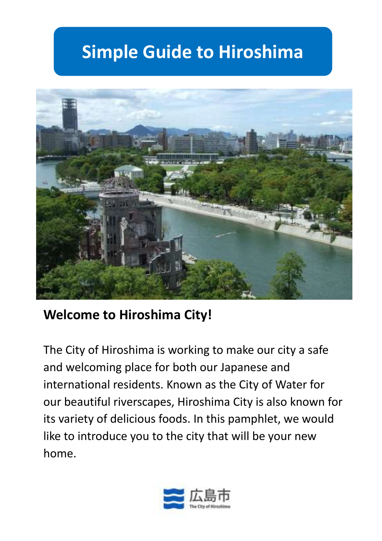# **Simple Guide to Hiroshima**



## **Welcome to Hiroshima City!**

The City of Hiroshima is working to make our city a safe and welcoming place for both our Japanese and international residents. Known as the City of Water for our beautiful riverscapes, Hiroshima City is also known for its variety of delicious foods. In this pamphlet, we would like to introduce you to the city that will be your new home.

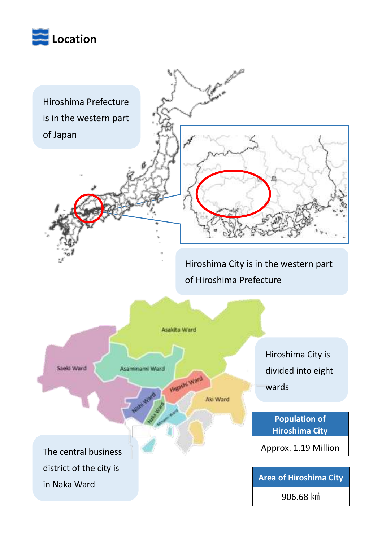

Hiroshima Prefecture is in the western part of Japan

Hiroshima City is in the western part of Hiroshima Prefecture

P. Marco

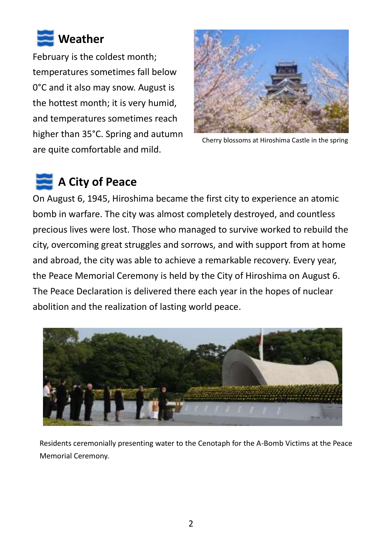

February is the coldest month; temperatures sometimes fall below 0°C and it also may snow. August is the hottest month; it is very humid, and temperatures sometimes reach higher than 35°C. Spring and autumn are quite comfortable and mild.



Cherry blossoms at Hiroshima Castle in the spring

# **A City of Peace**

On August 6, 1945, Hiroshima became the first city to experience an atomic bomb in warfare. The city was almost completely destroyed, and countless precious lives were lost. Those who managed to survive worked to rebuild the city, overcoming great struggles and sorrows, and with support from at home and abroad, the city was able to achieve a remarkable recovery. Every year, the Peace Memorial Ceremony is held by the City of Hiroshima on August 6. The Peace Declaration is delivered there each year in the hopes of nuclear abolition and the realization of lasting world peace.



Residents ceremonially presenting water to the Cenotaph for the A-Bomb Victims at the Peace Memorial Ceremony.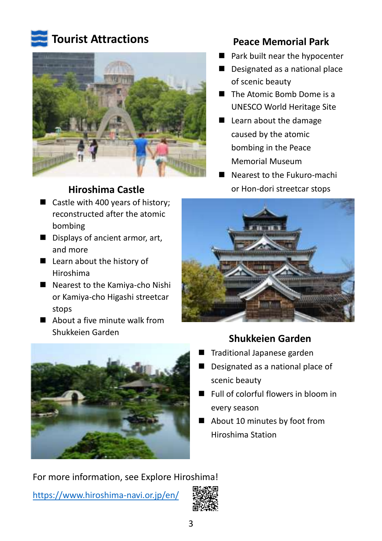

### **Tourist Attractions**



#### **Hiroshima Castle**

- Castle with 400 years of history: reconstructed after the atomic bombing
- Displays of ancient armor, art, and more
- Learn about the history of Hiroshima
- Nearest to the Kamiya-cho Nishi or Kamiya-cho Higashi streetcar stops
- About a five minute walk from Shukkeien Garden



**Peace Memorial Park**

- **Park built near the hypocenter**
- Designated as a national place of scenic beauty
- The Atomic Bomb Dome is a UNESCO World Heritage Site
- Learn about the damage caused by the atomic bombing in the Peace Memorial Museum
- Nearest to the Fukuro-machi or Hon-dori streetcar stops



#### **Shukkeien Garden**

- Traditional Japanese garden
- Designated as a national place of scenic beauty
- Full of colorful flowers in bloom in every season
- About 10 minutes by foot from Hiroshima Station

For more information, see Explore Hiroshima! <https://www.hiroshima-navi.or.jp/en/>

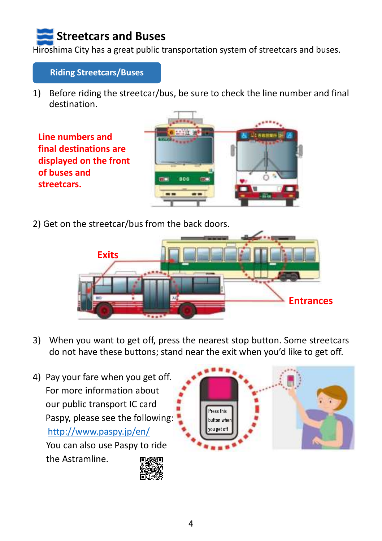## **Streetcars and Buses**

Hiroshima City has a great public transportation system of streetcars and buses.

**Riding Streetcars/Buses**

1) Before riding the streetcar/bus, be sure to check the line number and final destination.

**Line numbers and final destinations are displayed on the front of buses and streetcars.**



2) Get on the streetcar/bus from the back doors.



- 3) When you want to get off, press the nearest stop button. Some streetcars do not have these buttons; stand near the exit when you'd like to get off.
- 4) Pay your fare when you get off. For more information about our public transport IC card Paspy, please see the following: http://www.paspy.jp/en/ You can also use Paspy to ride the Astramline.



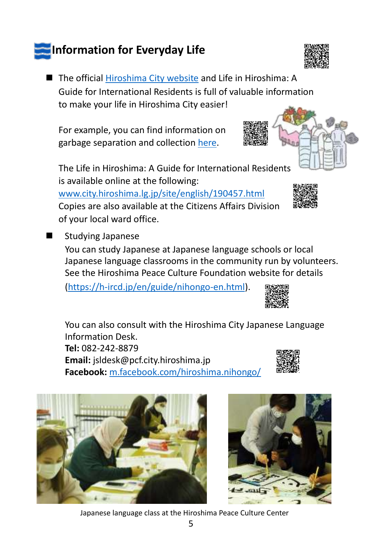## **Information for Everyday Life**

■ The official [Hiroshima City](https://www.city.hiroshima.lg.jp/site/english/) website and Life in Hiroshima: A Guide for International Residents is full of valuable information to make your life in Hiroshima City easier!

For example, you can find information on garbage separation and collectio[n here.](https://www.city.hiroshima.lg.jp/site/kateigomi/203605.html#p11)

The Life in Hiroshima: A Guide for International Residents is available online at the following:

[www.city.hiroshima.lg.jp/site/english/190457.html](https://www.city.hiroshima.lg.jp/site/english/190457.html) Copies are also available at the Citizens Affairs Division of your local ward office.

Studying Japanese

You can study Japanese at Japanese language schools or local Japanese language classrooms in the community run by volunteers. See the Hiroshima Peace Culture Foundation website for details

[\(https://h-ircd.jp/en/guide/nihongo-en.html\)](https://h-ircd.jp/en/guide/nihongo-en.html).

You can also consult with the Hiroshima City Japanese Language Information Desk. **Tel:** 082-242-8879 **Email:** jsldesk@pcf.city.hiroshima.jp **Facebook:** [m.facebook.com/hiroshima.nihongo/](https://m.facebook.com/hiroshima.nihongo/)







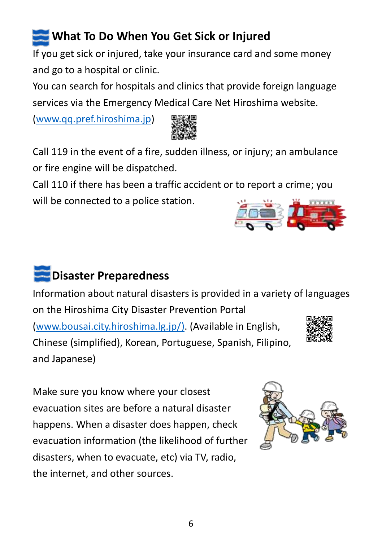## **What To Do When You Get Sick or Injured**

If you get sick or injured, take your insurance card and some money and go to a hospital or clinic.

You can search for hospitals and clinics that provide foreign language services via the Emergency Medical Care Net Hiroshima website.

[\(www.qq.pref.hiroshima.jp\)](http://www.qq.pref.hiroshima.jp/)



Call 119 in the event of a fire, sudden illness, or injury; an ambulance or fire engine will be dispatched.

Call 110 if there has been a traffic accident or to report a crime; you will be connected to a police station.

# **Disaster Preparedness**

Information about natural disasters is provided in a variety of languages on the Hiroshima City Disaster Prevention Portal [\(www.bousai.city.hiroshima.lg.jp/\)](http://www.bousai.city.hiroshima.lg.jp/). (Available in English, Chinese (simplified), Korean, Portuguese, Spanish, Filipino, and Japanese)

Make sure you know where your closest evacuation sites are before a natural disaster happens. When a disaster does happen, check evacuation information (the likelihood of further disasters, when to evacuate, etc) via TV, radio, the internet, and other sources.